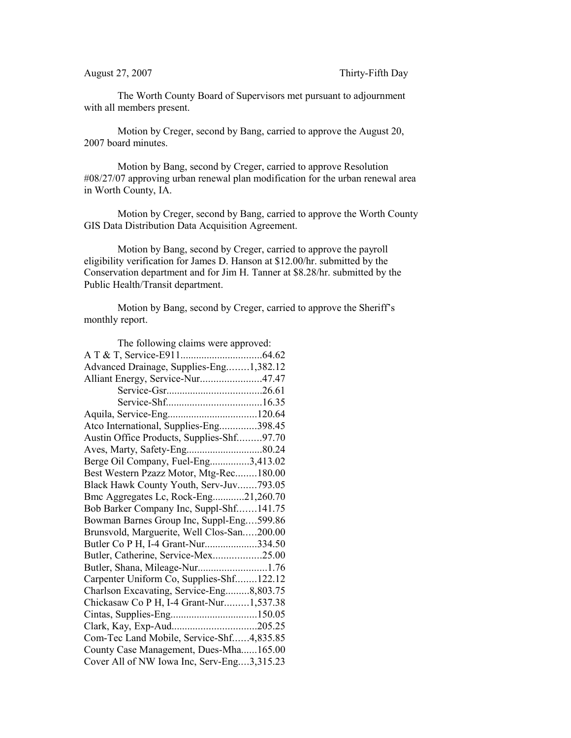The Worth County Board of Supervisors met pursuant to adjournment with all members present.

Motion by Creger, second by Bang, carried to approve the August 20, 2007 board minutes.

Motion by Bang, second by Creger, carried to approve Resolution #08/27/07 approving urban renewal plan modification for the urban renewal area in Worth County, IA.

Motion by Creger, second by Bang, carried to approve the Worth County GIS Data Distribution Data Acquisition Agreement.

Motion by Bang, second by Creger, carried to approve the payroll eligibility verification for James D. Hanson at \$12.00/hr. submitted by the Conservation department and for Jim H. Tanner at \$8.28/hr. submitted by the Public Health/Transit department.

Motion by Bang, second by Creger, carried to approve the Sheriff's monthly report.

| The following claims were approved:        |
|--------------------------------------------|
|                                            |
| Advanced Drainage, Supplies-Eng1,382.12    |
| Alliant Energy, Service-Nur47.47           |
|                                            |
|                                            |
|                                            |
| Atco International, Supplies-Eng398.45     |
| Austin Office Products, Supplies-Shf97.70  |
|                                            |
| Berge Oil Company, Fuel-Eng3,413.02        |
| Best Western Pzazz Motor, Mtg-Rec180.00    |
| Black Hawk County Youth, Serv-Juv793.05    |
| Bmc Aggregates Lc, Rock-Eng21,260.70       |
| Bob Barker Company Inc, Suppl-Shf141.75    |
| Bowman Barnes Group Inc, Suppl-Eng599.86   |
| Brunsvold, Marguerite, Well Clos-San200.00 |
| Butler Co P H, I-4 Grant-Nur334.50         |
| Butler, Catherine, Service-Mex25.00        |
| Butler, Shana, Mileage-Nur1.76             |
| Carpenter Uniform Co, Supplies-Shf122.12   |
| Charlson Excavating, Service-Eng8,803.75   |
| Chickasaw Co P H, I-4 Grant-Nur1,537.38    |
|                                            |
| Clark, Kay, Exp-Aud205.25                  |
| Com-Tec Land Mobile, Service-Shf4,835.85   |
| County Case Management, Dues-Mha165.00     |
| Cover All of NW Iowa Inc, Serv-Eng3,315.23 |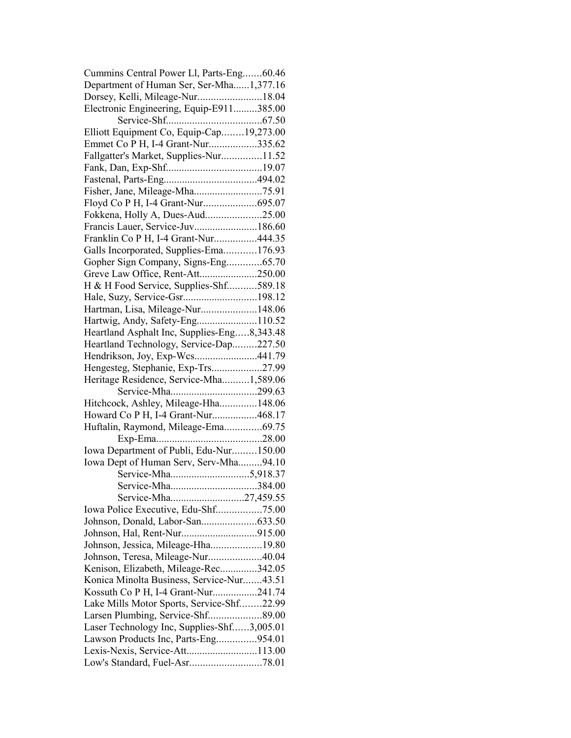| Cummins Central Power Ll, Parts-Eng60.46    |  |
|---------------------------------------------|--|
| Department of Human Ser, Ser-Mha1,377.16    |  |
| Dorsey, Kelli, Mileage-Nur18.04             |  |
| Electronic Engineering, Equip-E911385.00    |  |
|                                             |  |
| Elliott Equipment Co, Equip-Cap19,273.00    |  |
| Emmet Co P H, I-4 Grant-Nur335.62           |  |
| Fallgatter's Market, Supplies-Nur11.52      |  |
|                                             |  |
|                                             |  |
|                                             |  |
|                                             |  |
|                                             |  |
| Francis Lauer, Service-Juv186.60            |  |
| Franklin Co P H, I-4 Grant-Nur444.35        |  |
| Galls Incorporated, Supplies-Ema176.93      |  |
|                                             |  |
| Gopher Sign Company, Signs-Eng65.70         |  |
| Greve Law Office, Rent-Att250.00            |  |
| H & H Food Service, Supplies-Shf589.18      |  |
|                                             |  |
| Hartman, Lisa, Mileage-Nur148.06            |  |
|                                             |  |
| Heartland Asphalt Inc, Supplies-Eng8,343.48 |  |
| Heartland Technology, Service-Dap227.50     |  |
| Hendrikson, Joy, Exp-Wcs441.79              |  |
| Hengesteg, Stephanie, Exp-Trs27.99          |  |
| Heritage Residence, Service-Mha1,589.06     |  |
|                                             |  |
| Hitchcock, Ashley, Mileage-Hha148.06        |  |
| Howard Co P H, I-4 Grant-Nur468.17          |  |
| Huftalin, Raymond, Mileage-Ema69.75         |  |
|                                             |  |
| Iowa Department of Publi, Edu-Nur150.00     |  |
| Iowa Dept of Human Serv, Serv-Mha94.10      |  |
|                                             |  |
| Service-Mha384.00                           |  |
|                                             |  |
| Iowa Police Executive, Edu-Shf75.00         |  |
|                                             |  |
|                                             |  |
| Johnson, Jessica, Mileage-Hha19.80          |  |
| Johnson, Teresa, Mileage-Nur40.04           |  |
| Kenison, Elizabeth, Mileage-Rec342.05       |  |
| Konica Minolta Business, Service-Nur43.51   |  |
| Kossuth Co P H, I-4 Grant-Nur241.74         |  |
| Lake Mills Motor Sports, Service-Shf22.99   |  |
|                                             |  |
| Laser Technology Inc, Supplies-Shf3,005.01  |  |
| Lawson Products Inc, Parts-Eng954.01        |  |
| Lexis-Nexis, Service-Att113.00              |  |
|                                             |  |
|                                             |  |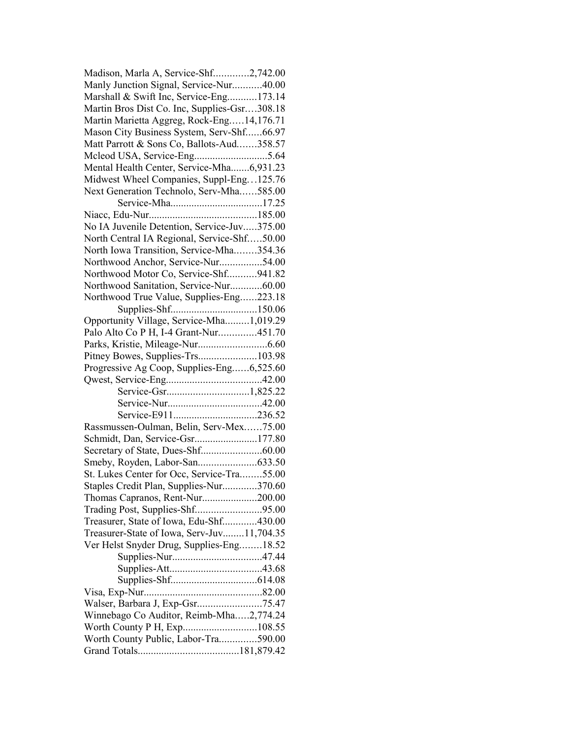| Madison, Marla A, Service-Shf2,742.00        |  |
|----------------------------------------------|--|
| Manly Junction Signal, Service-Nur40.00      |  |
| Marshall & Swift Inc, Service-Eng173.14      |  |
| Martin Bros Dist Co. Inc, Supplies-Gsr308.18 |  |
| Martin Marietta Aggreg, Rock-Eng14,176.71    |  |
| Mason City Business System, Serv-Shf66.97    |  |
| Matt Parrott & Sons Co, Ballots-Aud358.57    |  |
|                                              |  |
| Mental Health Center, Service-Mha6,931.23    |  |
| Midwest Wheel Companies, Suppl-Eng125.76     |  |
| Next Generation Technolo, Serv-Mha585.00     |  |
|                                              |  |
|                                              |  |
| No IA Juvenile Detention, Service-Juv375.00  |  |
| North Central IA Regional, Service-Shf50.00  |  |
| North Iowa Transition, Service-Mha354.36     |  |
| Northwood Anchor, Service-Nur54.00           |  |
| Northwood Motor Co, Service-Shf941.82        |  |
| Northwood Sanitation, Service-Nur60.00       |  |
| Northwood True Value, Supplies-Eng223.18     |  |
| Supplies-Shf150.06                           |  |
| Opportunity Village, Service-Mha1,019.29     |  |
| Palo Alto Co P H, I-4 Grant-Nur451.70        |  |
|                                              |  |
| Pitney Bowes, Supplies-Trs103.98             |  |
| Progressive Ag Coop, Supplies-Eng6,525.60    |  |
|                                              |  |
|                                              |  |
|                                              |  |
|                                              |  |
|                                              |  |
|                                              |  |
| Rassmussen-Oulman, Belin, Serv-Mex75.00      |  |
| Schmidt, Dan, Service-Gsr177.80              |  |
|                                              |  |
|                                              |  |
| St. Lukes Center for Occ, Service-Tra55.00   |  |
| Staples Credit Plan, Supplies-Nur370.60      |  |
| Thomas Capranos, Rent-Nur200.00              |  |
| Trading Post, Supplies-Shf95.00              |  |
| Treasurer, State of Iowa, Edu-Shf430.00      |  |
| Treasurer-State of Iowa, Serv-Juv11,704.35   |  |
| Ver Helst Snyder Drug, Supplies-Eng18.52     |  |
|                                              |  |
|                                              |  |
|                                              |  |
|                                              |  |
| Walser, Barbara J, Exp-Gsr75.47              |  |
| Winnebago Co Auditor, Reimb-Mha2,774.24      |  |
|                                              |  |
| Worth County Public, Labor-Tra590.00         |  |